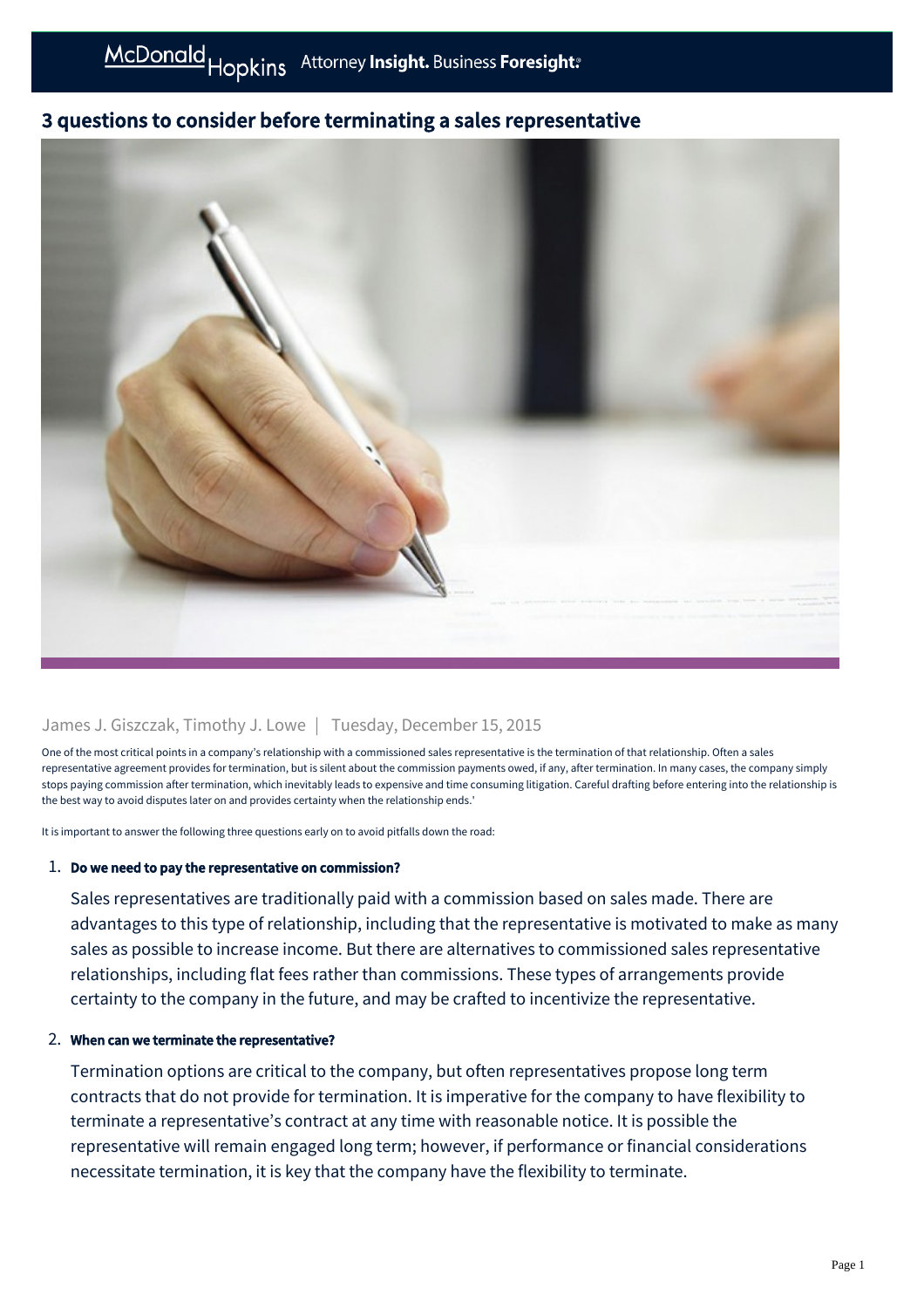# 3 questions to consider before terminating a sales representative



## James J. Giszczak, Timothy J. Lowe | Tuesday, December 15, 2015

One of the most critical points in a company's relationship with a commissioned sales representative is the termination of that relationship. Often a sales representative agreement provides for termination, but is silent about the commission payments owed, if any, after termination. In many cases, the company simply stops paying commission after termination, which inevitably leads to expensive and time consuming litigation. Careful drafting before entering into the relationship is the best way to avoid disputes later on and provides certainty when the relationship ends.'

It is important to answer the following three questions early on to avoid pitfalls down the road:

### 1. Do we need to pay the representative on commission?

Sales representatives are traditionally paid with a commission based on sales made. There are advantages to this type of relationship, including that the representative is motivated to make as many sales as possible to increase income. But there are alternatives to commissioned sales representative relationships, including flat fees rather than commissions. These types of arrangements provide certainty to the company in the future, and may be crafted to incentivize the representative.

### 2. When can we terminate the representative?

Termination options are critical to the company, but often representatives propose long term contracts that do not provide for termination. It is imperative for the company to have flexibility to terminate a representative's contract at any time with reasonable notice. It is possible the representative will remain engaged long term; however, if performance or financial considerations necessitate termination, it is key that the company have the flexibility to terminate.